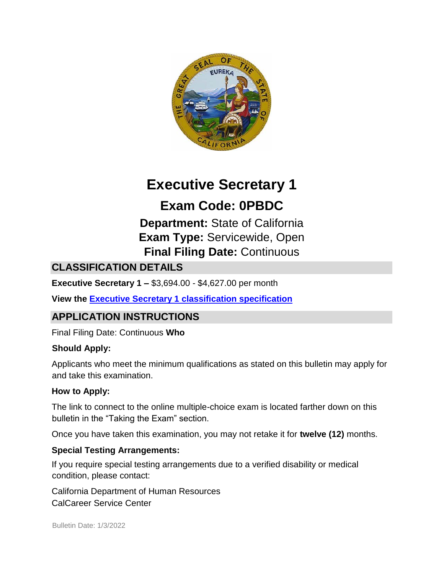

# **Executive Secretary 1**

# **Exam Code: 0PBDC**

**Department:** State of California **Exam Type:** Servicewide, Open **Final Filing Date:** Continuous

# **CLASSIFICATION DETAILS**

**Executive Secretary 1 –** \$3,694.00 - \$4,627.00 per month

**View the [Executive Secretary 1 classification specification](https://www.calhr.ca.gov/state-hr-professionals/pages/1176.aspx)**

# **APPLICATION INSTRUCTIONS**

Final Filing Date: Continuous **Who** 

# **Should Apply:**

Applicants who meet the minimum qualifications as stated on this bulletin may apply for and take this examination.

# **How to Apply:**

The link to connect to the online multiple-choice exam is located farther down on this bulletin in the "Taking the Exam" section.

Once you have taken this examination, you may not retake it for **twelve (12)** months.

# **Special Testing Arrangements:**

If you require special testing arrangements due to a verified disability or medical condition, please contact:

California Department of Human Resources CalCareer Service Center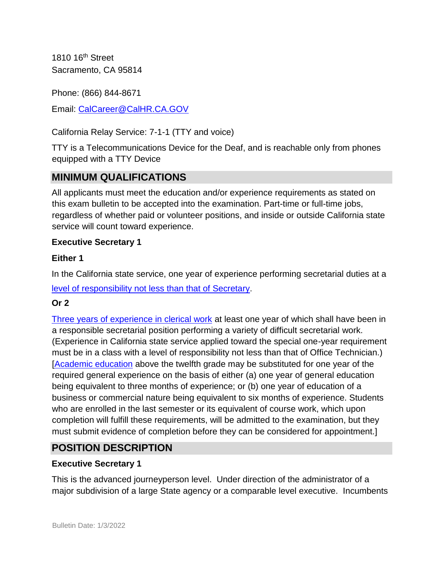1810 16<sup>th</sup> Street Sacramento, CA 95814

Phone: (866) 844-8671

Email: CalCareer@CalHR.CA.GOV

California Relay Service: 7-1-1 (TTY and voice)

TTY is a Telecommunications Device for the Deaf, and is reachable only from phones equipped with a TTY Device

# **MINIMUM QUALIFICATIONS**

All applicants must meet the education and/or experience requirements as stated on this exam bulletin to be accepted into the examination. Part-time or full-time jobs, regardless of whether paid or volunteer positions, and inside or outside California state service will count toward experience.

#### **Executive Secretary 1**

#### **Either 1**

In the California state service, one year of experience performing secretarial duties at a

[level of responsibility not less than that of Secretary](https://jobs.ca.gov/jobsgen/3pb36A.pdf)[.](https://jobs.ca.gov/jobsgen/3pb36A.pdf) 

#### **Or 2**

[Three years of experience in clerical work](https://jobs.ca.gov/jobsgen/3pb36B.pdf) at least one year of which shall have been in a responsible secretarial position performing a variety of difficult secretarial work. (Experience in California state service applied toward the special one-year requirement must be in a class with a level of responsibility not less than that of Office Technician.) [\[Academic education](https://jobs.ca.gov/jobsgen/3pb36C.pdf) [a](https://jobs.ca.gov/jobsgen/3pb36C.pdf)bove the twelfth grade may be substituted for one year of the required general experience on the basis of either (a) one year of general education being equivalent to three months of experience; or (b) one year of education of a business or commercial nature being equivalent to six months of experience. Students who are enrolled in the last semester or its equivalent of course work, which upon completion will fulfill these requirements, will be admitted to the examination, but they must submit evidence of completion before they can be considered for appointment.]

# **POSITION DESCRIPTION**

#### **Executive Secretary 1**

This is the advanced journeyperson level. Under direction of the administrator of a major subdivision of a large State agency or a comparable level executive. Incumbents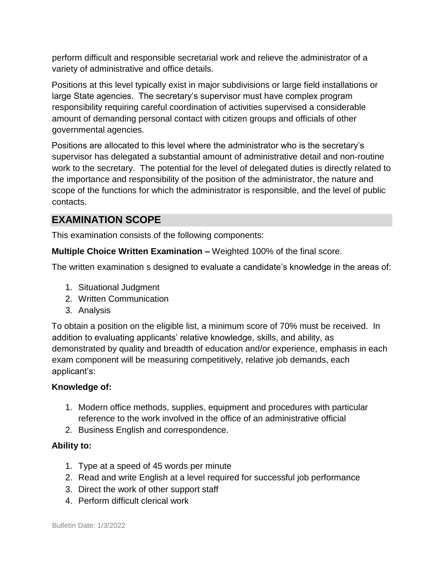perform difficult and responsible secretarial work and relieve the administrator of a variety of administrative and office details.

Positions at this level typically exist in major subdivisions or large field installations or large State agencies. The secretary's supervisor must have complex program responsibility requiring careful coordination of activities supervised a considerable amount of demanding personal contact with citizen groups and officials of other governmental agencies.

Positions are allocated to this level where the administrator who is the secretary's supervisor has delegated a substantial amount of administrative detail and non-routine work to the secretary. The potential for the level of delegated duties is directly related to the importance and responsibility of the position of the administrator, the nature and scope of the functions for which the administrator is responsible, and the level of public contacts.

# **EXAMINATION SCOPE**

This examination consists of the following components:

**Multiple Choice Written Examination –** Weighted 100% of the final score.

The written examination s designed to evaluate a candidate's knowledge in the areas of:

- 1. Situational Judgment
- 2. Written Communication
- 3. Analysis

To obtain a position on the eligible list, a minimum score of 70% must be received. In addition to evaluating applicants' relative knowledge, skills, and ability, as demonstrated by quality and breadth of education and/or experience, emphasis in each exam component will be measuring competitively, relative job demands, each applicant's:

#### **Knowledge of:**

- 1. Modern office methods, supplies, equipment and procedures with particular reference to the work involved in the office of an administrative official
- 2. Business English and correspondence.

#### **Ability to:**

- 1. Type at a speed of 45 words per minute
- 2. Read and write English at a level required for successful job performance
- 3. Direct the work of other support staff
- 4. Perform difficult clerical work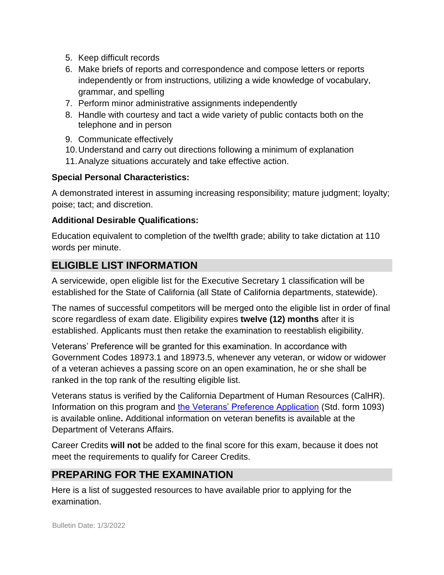- 5. Keep difficult records
- 6. Make briefs of reports and correspondence and compose letters or reports independently or from instructions, utilizing a wide knowledge of vocabulary, grammar, and spelling
- 7. Perform minor administrative assignments independently
- 8. Handle with courtesy and tact a wide variety of public contacts both on the telephone and in person
- 9. Communicate effectively
- 10.Understand and carry out directions following a minimum of explanation
- 11.Analyze situations accurately and take effective action.

### **Special Personal Characteristics:**

A demonstrated interest in assuming increasing responsibility; mature judgment; loyalty; poise; tact; and discretion.

### **Additional Desirable Qualifications:**

Education equivalent to completion of the twelfth grade; ability to take dictation at 110 words per minute.

# **ELIGIBLE LIST INFORMATION**

A servicewide, open eligible list for the Executive Secretary 1 classification will be established for the State of California (all State of California departments, statewide).

The names of successful competitors will be merged onto the eligible list in order of final score regardless of exam date. Eligibility expires **twelve (12) months** after it is established. Applicants must then retake the examination to reestablish eligibility.

Veterans' Preference will be granted for this examination. In accordance with Government Codes 18973.1 and 18973.5, whenever any veteran, or widow or widower of a veteran achieves a passing score on an open examination, he or she shall be ranked in the top rank of the resulting eligible list.

Veterans status is verified by the California Department of Human Resources (CalHR). Information on this program and [the Veterans' Preference Application](https://www.jobs.ca.gov/CalHRPublic/Landing/Jobs/VeteransInformation.aspx) [\(](https://www.jobs.ca.gov/CalHRPublic/Landing/Jobs/VeteransInformation.aspx)Std. form 1093) is available online**.** Additional information on veteran benefits is available at the Department of Veterans Affairs.

Career Credits **will not** be added to the final score for this exam, because it does not meet the requirements to qualify for Career Credits.

# **PREPARING FOR THE EXAMINATION**

Here is a list of suggested resources to have available prior to applying for the examination.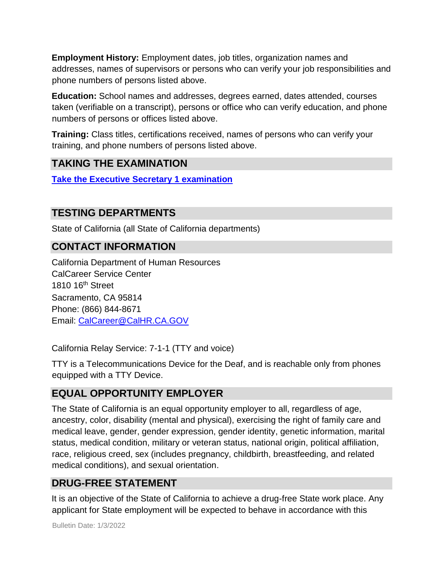**Employment History:** Employment dates, job titles, organization names and addresses, names of supervisors or persons who can verify your job responsibilities and phone numbers of persons listed above.

**Education:** School names and addresses, degrees earned, dates attended, courses taken (verifiable on a transcript), persons or office who can verify education, and phone numbers of persons or offices listed above.

**Training:** Class titles, certifications received, names of persons who can verify your training, and phone numbers of persons listed above.

# **TAKING THE EXAMINATION**

**[Take the Executive Secretary](https://www.jobs.ca.gov/CalHRPublic/Login.aspx?ExamId=0PBDC) [1 examination](https://www.jobs.ca.gov/CalHRPublic/Login.aspx?ExamId=0PBDC)**

# **TESTING DEPARTMENTS**

State of California (all State of California departments)

# **CONTACT INFORMATION**

California Department of Human Resources CalCareer Service Center 1810 16<sup>th</sup> Street Sacramento, CA 95814 Phone: (866) 844-8671 Email: CalCareer@CalHR.CA.GOV

California Relay Service: 7-1-1 (TTY and voice)

TTY is a Telecommunications Device for the Deaf, and is reachable only from phones equipped with a TTY Device.

# **EQUAL OPPORTUNITY EMPLOYER**

The State of California is an equal opportunity employer to all, regardless of age, ancestry, color, disability (mental and physical), exercising the right of family care and medical leave, gender, gender expression, gender identity, genetic information, marital status, medical condition, military or veteran status, national origin, political affiliation, race, religious creed, sex (includes pregnancy, childbirth, breastfeeding, and related medical conditions), and sexual orientation.

# **DRUG-FREE STATEMENT**

It is an objective of the State of California to achieve a drug-free State work place. Any applicant for State employment will be expected to behave in accordance with this